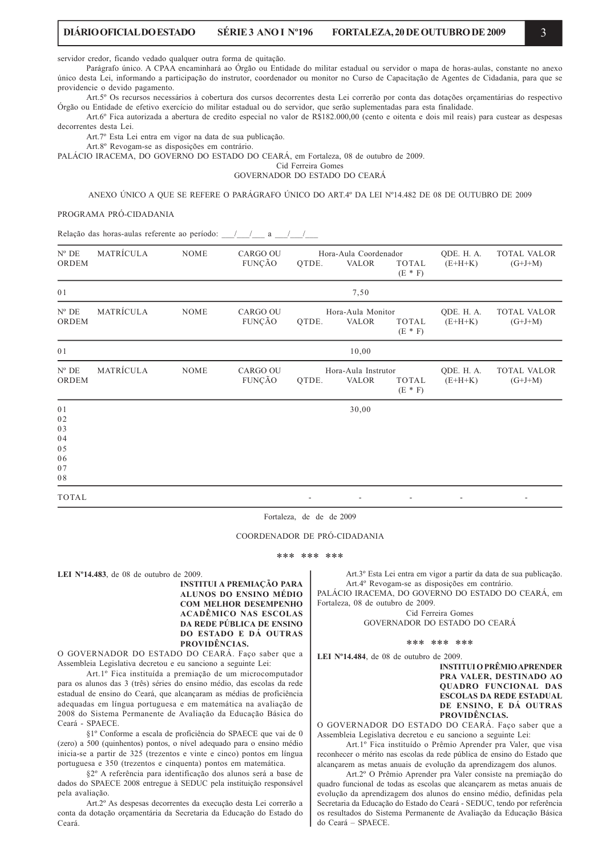servidor credor, ficando vedado qualquer outra forma de quitação.

Parágrafo único. A CPAA encaminhará ao Órgão ou Entidade do militar estadual ou servidor o mapa de horas-aulas, constante no anexo único desta Lei, informando a participação do instrutor, coordenador ou monitor no Curso de Capacitação de Agentes de Cidadania, para que se providencie o devido pagamento.

Art.5° Os recursos necessários à cobertura dos cursos decorrentes desta Lei correrão por conta das dotações orcamentárias do respectivo Órgão ou Entidade de efetivo exercício do militar estadual ou do servidor, que serão suplementadas para esta finalidade.

Art.6° Fica autorizada a abertura de credito especial no valor de R\$182.000.00 (cento e oitenta e dois mil reais) para custear as despesas decorrentes desta Lei.

Art.7º Esta Lei entra em vigor na data de sua publicação.

Art.8º Revogam-se as disposições em contrário.

PALÁCIO IRACEMA, DO GOVERNO DO ESTADO DO CEARÁ, em Fortaleza, 08 de outubro de 2009.

Cid Ferreira Gomes GOVERNADOR DO ESTADO DO CEARÁ

ANEXO ÚNICO A QUE SE REFERE O PARÁGRAFO ÚNICO DO ART4º DA LEI Nº14.482 DE 08 DE OUTUBRO DE 2009

# PROGRAMA PRÓ-CIDADANIA

Relação das horas-aulas referente ao período: /// / a ///

| $N^{\rm o}$ DE<br>ORDEM                      | MATRÍCULA | <b>NOME</b> | <b>CARGO OU</b><br>FUNÇÃO | QTDE. | Hora-Aula Coordenador<br>VALOR      | TOTAL<br>$(E * F)$ | QDE. H. A.<br>$(E+H+K)$ | TOTAL VALOR<br>$(G+J+M)$        |
|----------------------------------------------|-----------|-------------|---------------------------|-------|-------------------------------------|--------------------|-------------------------|---------------------------------|
| 01                                           |           |             |                           |       | 7,50                                |                    |                         |                                 |
| $N^{\rm o}$ DE<br>ORDEM                      | MATRÍCULA | <b>NOME</b> | <b>CARGO OU</b><br>FUNÇÃO | QTDE. | Hora-Aula Monitor<br><b>VALOR</b>   | TOTAL<br>$(E * F)$ | QDE. H. A.<br>$(E+H+K)$ | TOTAL VALOR<br>$(G+J+M)$        |
| 0 <sub>1</sub>                               |           | 10,00       |                           |       |                                     |                    |                         |                                 |
| $\mathrm{N}^{\mathrm{o}}$ DE<br>ORDEM        | MATRÍCULA | <b>NOME</b> | CARGO OU<br>FUNÇÃO        | QTDE. | Hora-Aula Instrutor<br><b>VALOR</b> | TOTAL<br>$(E * F)$ | QDE. H. A.<br>$(E+H+K)$ | <b>TOTAL VALOR</b><br>$(G+J+M)$ |
| 01<br>02<br>03<br>04<br>05<br>06<br>07<br>08 |           |             |                           |       | 30,00                               |                    |                         |                                 |
| TOTAL                                        |           |             |                           |       | ۰.                                  |                    |                         | ٠                               |

Fortaleza, de de de 2009

COORDENADOR DE PRÓ-CIDADANIA

\*\*\* \*\*\* \*\*\*

LEI  $N^{\circ}$ 14.483, de 08 de outubro de 2009. **INSTITUI A PREMIAÇÃO PARA** ALUNOS DO ENSINO MÉDIO COM MELHOR DESEMPENHO **ACADÊMICO NAS ESCOLAS** DA REDE PÚBLICA DE ENSINO DO ESTADO E DÁ OUTRAS PROVIDÊNCIAS.

O GOVERNADOR DO ESTADO DO CEARÁ. Faço saber que a Assembleia Legislativa decretou e eu sanciono a seguinte Lei:

Art.1º Fica instituída a premiação de um microcomputador para os alunos das 3 (três) séries do ensino médio, das escolas da rede estadual de ensino do Ceará, que alcançaram as médias de proficiência adequadas em língua portuguesa e em matemática na avaliação de 2008 do Sistema Permanente de Avaliação da Educação Básica do Ceará - SPAECE

§1º Conforme a escala de proficiência do SPAECE que vai de 0 (zero) a 500 (quinhentos) pontos, o nível adequado para o ensino médio inicia-se a partir de 325 (trezentos e vinte e cinco) pontos em língua portuguesa e 350 (trezentos e cinquenta) pontos em matemática.

§2º A referência para identificação dos alunos será a base de dados do SPAECE 2008 entregue à SEDUC pela instituição responsável nela avaliação.

Art.2º As despesas decorrentes da execução desta Lei correrão a conta da dotação orçamentária da Secretaria da Educação do Estado do Ceará.

Art.3º Esta Lei entra em vigor a partir da data de sua publicação. Art.4º Revogam-se as disposições em contrário.

PALÁCIO IRACEMA, DO GOVERNO DO ESTADO DO CEARÁ, em Fortaleza, 08 de outubro de 2009. Cid Ferreira Gomes

GOVERNADOR DO ESTADO DO CEARÁ

#### \*\*\* \*\*\* \*\*\*

LEI  $N^{\circ}$ 14.484, de 08 de outubro de 2009.

**INSTITUI O PRÊMIO APRENDER** PRA VALER, DESTINADO AO **OUADRO FUNCIONAL DAS ESCOLAS DA REDE ESTADUAL** DE ENSINO, E DÁ OUTRAS PROVIDÊNCIAS.

O GOVERNADOR DO ESTADO DO CEARÁ. Faço saber que a Assembleia Legislativa decretou e eu sanciono a seguinte Lei:

Art.1º Fica instituído o Prêmio Aprender pra Valer, que visa reconhecer o mérito nas escolas da rede pública de ensino do Estado que alcançarem as metas anuais de evolução da aprendizagem dos alunos.

Art.2º O Prêmio Aprender pra Valer consiste na premiação do quadro funcional de todas as escolas que alcançarem as metas anuais de evolução da aprendizagem dos alunos do ensino médio, definidas pela Secretaria da Educação do Estado do Ceará - SEDUC, tendo por referência os resultados do Sistema Permanente de Avaliação da Educação Básica do Ceará - SPAECE.